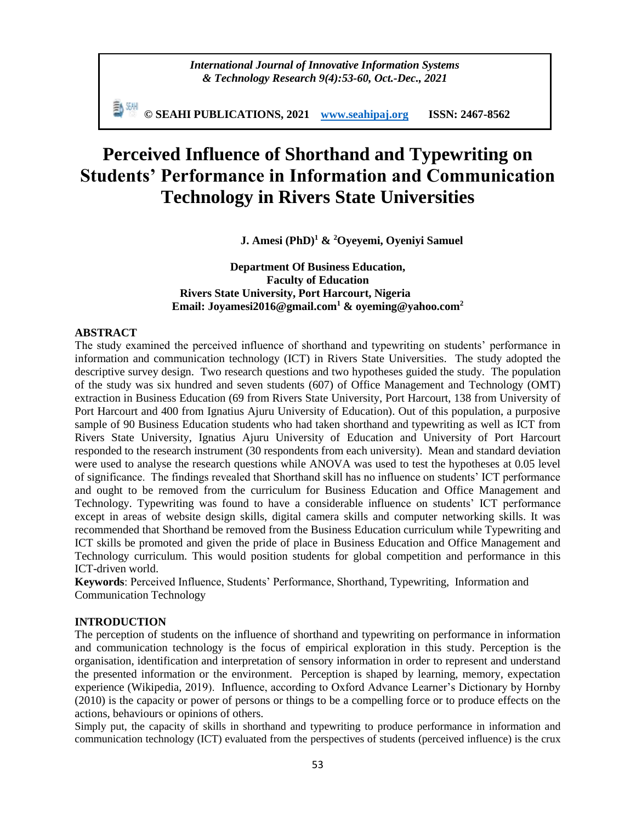*International Journal of Innovative Information Systems & Technology Research 9(4):53-60, Oct.-Dec., 2021*

**© SEAHI PUBLICATIONS, 2021 [www.seahipaj.org](http://www.seahipaj.org/) ISSN: 2467-8562**

# **Perceived Influence of Shorthand and Typewriting on Students' Performance in Information and Communication Technology in Rivers State Universities**

**J. Amesi (PhD)<sup>1</sup> & <sup>2</sup>Oyeyemi, Oyeniyi Samuel**

**Department Of Business Education, Faculty of Education Rivers State University, Port Harcourt, Nigeria Email: [Joyamesi2016@gmail.com](mailto:Joyamesi2016@gmail.com1)<sup>1</sup> & [oyeming@yahoo.com](mailto:oyeming@yahoo.com)<sup>2</sup>**

## **ABSTRACT**

The study examined the perceived influence of shorthand and typewriting on students' performance in information and communication technology (ICT) in Rivers State Universities. The study adopted the descriptive survey design. Two research questions and two hypotheses guided the study. The population of the study was six hundred and seven students (607) of Office Management and Technology (OMT) extraction in Business Education (69 from Rivers State University, Port Harcourt, 138 from University of Port Harcourt and 400 from Ignatius Ajuru University of Education). Out of this population, a purposive sample of 90 Business Education students who had taken shorthand and typewriting as well as ICT from Rivers State University, Ignatius Ajuru University of Education and University of Port Harcourt responded to the research instrument (30 respondents from each university). Mean and standard deviation were used to analyse the research questions while ANOVA was used to test the hypotheses at 0.05 level of significance. The findings revealed that Shorthand skill has no influence on students' ICT performance and ought to be removed from the curriculum for Business Education and Office Management and Technology. Typewriting was found to have a considerable influence on students' ICT performance except in areas of website design skills, digital camera skills and computer networking skills. It was recommended that Shorthand be removed from the Business Education curriculum while Typewriting and ICT skills be promoted and given the pride of place in Business Education and Office Management and Technology curriculum. This would position students for global competition and performance in this ICT-driven world.

**Keywords**: Perceived Influence, Students' Performance, Shorthand, Typewriting, Information and Communication Technology

#### **INTRODUCTION**

The perception of students on the influence of shorthand and typewriting on performance in information and communication technology is the focus of empirical exploration in this study. Perception is the organisation, identification and interpretation of sensory information in order to represent and understand the presented information or the environment. Perception is shaped by learning, memory, expectation experience (Wikipedia, 2019). Influence, according to Oxford Advance Learner's Dictionary by Hornby (2010) is the capacity or power of persons or things to be a compelling force or to produce effects on the actions, behaviours or opinions of others.

Simply put, the capacity of skills in shorthand and typewriting to produce performance in information and communication technology (ICT) evaluated from the perspectives of students (perceived influence) is the crux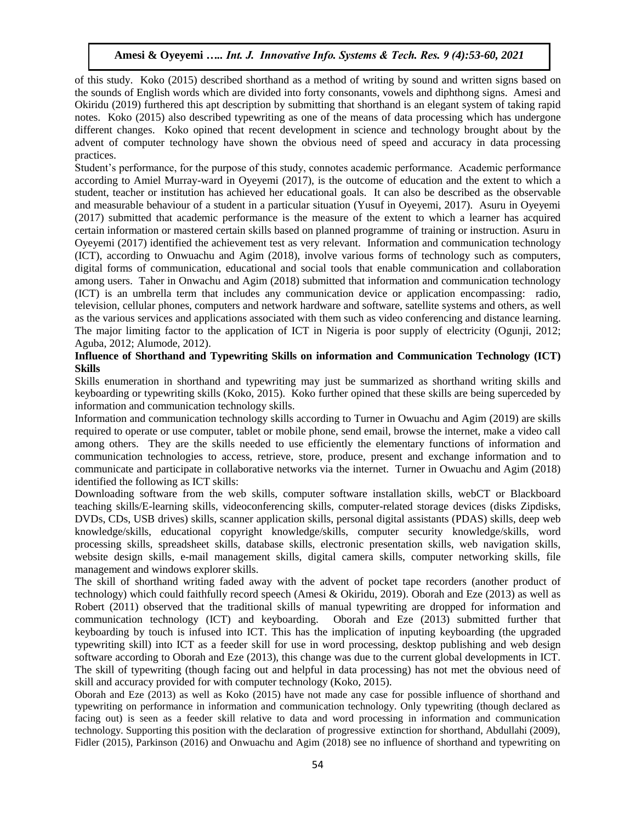of this study. Koko (2015) described shorthand as a method of writing by sound and written signs based on the sounds of English words which are divided into forty consonants, vowels and diphthong signs. Amesi and Okiridu (2019) furthered this apt description by submitting that shorthand is an elegant system of taking rapid notes. Koko (2015) also described typewriting as one of the means of data processing which has undergone different changes. Koko opined that recent development in science and technology brought about by the advent of computer technology have shown the obvious need of speed and accuracy in data processing practices.

Student's performance, for the purpose of this study, connotes academic performance. Academic performance according to Amiel Murray-ward in Oyeyemi (2017), is the outcome of education and the extent to which a student, teacher or institution has achieved her educational goals. It can also be described as the observable and measurable behaviour of a student in a particular situation (Yusuf in Oyeyemi, 2017). Asuru in Oyeyemi (2017) submitted that academic performance is the measure of the extent to which a learner has acquired certain information or mastered certain skills based on planned programme of training or instruction. Asuru in Oyeyemi (2017) identified the achievement test as very relevant. Information and communication technology (ICT), according to Onwuachu and Agim (2018), involve various forms of technology such as computers, digital forms of communication, educational and social tools that enable communication and collaboration among users. Taher in Onwachu and Agim (2018) submitted that information and communication technology (ICT) is an umbrella term that includes any communication device or application encompassing: radio, television, cellular phones, computers and network hardware and software, satellite systems and others, as well as the various services and applications associated with them such as video conferencing and distance learning. The major limiting factor to the application of ICT in Nigeria is poor supply of electricity (Ogunji, 2012; Aguba, 2012; Alumode, 2012).

## **Influence of Shorthand and Typewriting Skills on information and Communication Technology (ICT) Skills**

Skills enumeration in shorthand and typewriting may just be summarized as shorthand writing skills and keyboarding or typewriting skills (Koko, 2015). Koko further opined that these skills are being superceded by information and communication technology skills.

Information and communication technology skills according to Turner in Owuachu and Agim (2019) are skills required to operate or use computer, tablet or mobile phone, send email, browse the internet, make a video call among others. They are the skills needed to use efficiently the elementary functions of information and communication technologies to access, retrieve, store, produce, present and exchange information and to communicate and participate in collaborative networks via the internet. Turner in Owuachu and Agim (2018) identified the following as ICT skills:

Downloading software from the web skills, computer software installation skills, webCT or Blackboard teaching skills/E-learning skills, videoconferencing skills, computer-related storage devices (disks Zipdisks, DVDs, CDs, USB drives) skills, scanner application skills, personal digital assistants (PDAS) skills, deep web knowledge/skills, educational copyright knowledge/skills, computer security knowledge/skills, word processing skills, spreadsheet skills, database skills, electronic presentation skills, web navigation skills, website design skills, e-mail management skills, digital camera skills, computer networking skills, file management and windows explorer skills.

The skill of shorthand writing faded away with the advent of pocket tape recorders (another product of technology) which could faithfully record speech (Amesi & Okiridu, 2019). Oborah and Eze (2013) as well as Robert (2011) observed that the traditional skills of manual typewriting are dropped for information and communication technology (ICT) and keyboarding. Oborah and Eze (2013) submitted further that keyboarding by touch is infused into ICT. This has the implication of inputing keyboarding (the upgraded typewriting skill) into ICT as a feeder skill for use in word processing, desktop publishing and web design software according to Oborah and Eze (2013), this change was due to the current global developments in ICT. The skill of typewriting (though facing out and helpful in data processing) has not met the obvious need of skill and accuracy provided for with computer technology (Koko, 2015).

Oborah and Eze (2013) as well as Koko (2015) have not made any case for possible influence of shorthand and typewriting on performance in information and communication technology. Only typewriting (though declared as facing out) is seen as a feeder skill relative to data and word processing in information and communication technology. Supporting this position with the declaration of progressive extinction for shorthand, Abdullahi (2009), Fidler (2015), Parkinson (2016) and Onwuachu and Agim (2018) see no influence of shorthand and typewriting on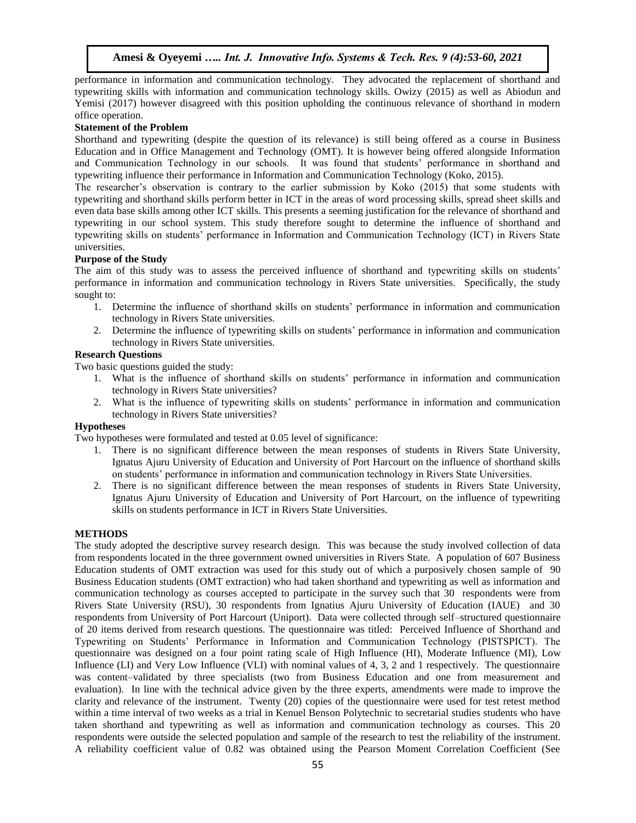performance in information and communication technology. They advocated the replacement of shorthand and typewriting skills with information and communication technology skills. Owizy (2015) as well as Abiodun and Yemisi (2017) however disagreed with this position upholding the continuous relevance of shorthand in modern office operation.

#### **Statement of the Problem**

Shorthand and typewriting (despite the question of its relevance) is still being offered as a course in Business Education and in Office Management and Technology (OMT). It is however being offered alongside Information and Communication Technology in our schools. It was found that students' performance in shorthand and typewriting influence their performance in Information and Communication Technology (Koko, 2015).

The researcher's observation is contrary to the earlier submission by Koko (2015) that some students with typewriting and shorthand skills perform better in ICT in the areas of word processing skills, spread sheet skills and even data base skills among other ICT skills. This presents a seeming justification for the relevance of shorthand and typewriting in our school system. This study therefore sought to determine the influence of shorthand and typewriting skills on students' performance in Information and Communication Technology (ICT) in Rivers State universities.

#### **Purpose of the Study**

The aim of this study was to assess the perceived influence of shorthand and typewriting skills on students' performance in information and communication technology in Rivers State universities. Specifically, the study sought to:

- 1. Determine the influence of shorthand skills on students' performance in information and communication technology in Rivers State universities.
- 2. Determine the influence of typewriting skills on students' performance in information and communication technology in Rivers State universities.

#### **Research Questions**

Two basic questions guided the study:

- 1. What is the influence of shorthand skills on students' performance in information and communication technology in Rivers State universities?
- 2. What is the influence of typewriting skills on students' performance in information and communication technology in Rivers State universities?

## **Hypotheses**

Two hypotheses were formulated and tested at 0.05 level of significance:

- 1. There is no significant difference between the mean responses of students in Rivers State University, Ignatus Ajuru University of Education and University of Port Harcourt on the influence of shorthand skills on students' performance in information and communication technology in Rivers State Universities.
- 2. There is no significant difference between the mean responses of students in Rivers State University, Ignatus Ajuru University of Education and University of Port Harcourt, on the influence of typewriting skills on students performance in ICT in Rivers State Universities.

#### **METHODS**

The study adopted the descriptive survey research design. This was because the study involved collection of data from respondents located in the three government owned universities in Rivers State. A population of 607 Business Education students of OMT extraction was used for this study out of which a purposively chosen sample of 90 Business Education students (OMT extraction) who had taken shorthand and typewriting as well as information and communication technology as courses accepted to participate in the survey such that 30 respondents were from Rivers State University (RSU), 30 respondents from Ignatius Ajuru University of Education (IAUE) and 30 respondents from University of Port Harcourt (Uniport). Data were collected through self–structured questionnaire of 20 items derived from research questions. The questionnaire was titled: Perceived Influence of Shorthand and Typewriting on Students' Performance in Information and Communication Technology (PISTSPICT). The questionnaire was designed on a four point rating scale of High Influence (HI), Moderate Influence (MI), Low Influence (LI) and Very Low Influence (VLI) with nominal values of 4, 3, 2 and 1 respectively. The questionnaire was content–validated by three specialists (two from Business Education and one from measurement and evaluation). In line with the technical advice given by the three experts, amendments were made to improve the clarity and relevance of the instrument. Twenty (20) copies of the questionnaire were used for test retest method within a time interval of two weeks as a trial in Kenuel Benson Polytechnic to secretarial studies students who have taken shorthand and typewriting as well as information and communication technology as courses. This 20 respondents were outside the selected population and sample of the research to test the reliability of the instrument. A reliability coefficient value of 0.82 was obtained using the Pearson Moment Correlation Coefficient (See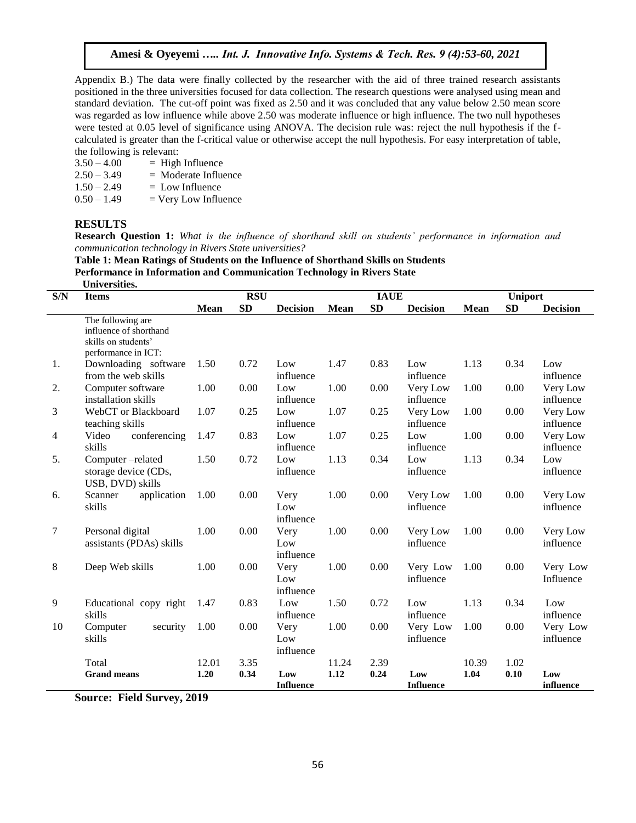Appendix B.) The data were finally collected by the researcher with the aid of three trained research assistants positioned in the three universities focused for data collection. The research questions were analysed using mean and standard deviation. The cut-off point was fixed as 2.50 and it was concluded that any value below 2.50 mean score was regarded as low influence while above 2.50 was moderate influence or high influence. The two null hypotheses were tested at 0.05 level of significance using ANOVA. The decision rule was: reject the null hypothesis if the fcalculated is greater than the f-critical value or otherwise accept the null hypothesis. For easy interpretation of table, the following is relevant:

| $3.50 - 4.00$ | $=$ High Influence     |
|---------------|------------------------|
| $2.50 - 3.49$ | $=$ Moderate Influence |
| $1.50 - 2.49$ | $=$ Low Influence      |
| $0.50 - 1.49$ | $=$ Very Low Influence |

#### **RESULTS**

**Research Question 1:** *What is the influence of shorthand skill on students' performance in information and communication technology in Rivers State universities?*

**Table 1: Mean Ratings of Students on the Influence of Shorthand Skills on Students Performance in Information and Communication Technology in Rivers State Universities** 

|                | Universities.                                                                             |            |           |                          |             |             |                         |                |           |                       |  |
|----------------|-------------------------------------------------------------------------------------------|------------|-----------|--------------------------|-------------|-------------|-------------------------|----------------|-----------|-----------------------|--|
| S/N            | <b>Items</b>                                                                              | <b>RSU</b> |           |                          |             | <b>IAUE</b> |                         | <b>Uniport</b> |           |                       |  |
|                |                                                                                           |            | <b>SD</b> | <b>Decision</b>          | <b>Mean</b> | <b>SD</b>   | <b>Decision</b>         | <b>Mean</b>    | <b>SD</b> | <b>Decision</b>       |  |
|                | The following are<br>influence of shorthand<br>skills on students'<br>performance in ICT: |            |           |                          |             |             |                         |                |           |                       |  |
| 1.             | Downloading software<br>from the web skills                                               | 1.50       | 0.72      | Low<br>influence         | 1.47        | 0.83        | Low<br>influence        | 1.13           | 0.34      | Low<br>influence      |  |
| 2.             | Computer software<br>installation skills                                                  | 1.00       | 0.00      | Low<br>influence         | 1.00        | 0.00        | Very Low<br>influence   | 1.00           | 0.00      | Very Low<br>influence |  |
| 3              | WebCT or Blackboard<br>teaching skills                                                    | 1.07       | 0.25      | Low<br>influence         | 1.07        | 0.25        | Very Low<br>influence   | 1.00           | 0.00      | Very Low<br>influence |  |
| $\overline{4}$ | Video<br>conferencing<br>skills                                                           | 1.47       | 0.83      | Low<br>influence         | 1.07        | 0.25        | Low<br>influence        | 1.00           | 0.00      | Very Low<br>influence |  |
| 5.             | Computer-related<br>storage device (CDs,<br>USB, DVD) skills                              | 1.50       | 0.72      | Low<br>influence         | 1.13        | 0.34        | Low<br>influence        | 1.13           | 0.34      | Low<br>influence      |  |
| 6.             | application<br>Scanner<br>skills                                                          | 1.00       | 0.00      | Very<br>Low<br>influence | 1.00        | 0.00        | Very Low<br>influence   | 1.00           | 0.00      | Very Low<br>influence |  |
| 7              | Personal digital<br>assistants (PDAs) skills                                              | 1.00       | 0.00      | Very<br>Low<br>influence | 1.00        | 0.00        | Very Low<br>influence   | 1.00           | 0.00      | Very Low<br>influence |  |
| 8              | Deep Web skills                                                                           | 1.00       | 0.00      | Very<br>Low<br>influence | 1.00        | 0.00        | Very Low<br>influence   | 1.00           | 0.00      | Very Low<br>Influence |  |
| 9              | Educational copy right<br>skills                                                          | 1.47       | 0.83      | Low<br>influence         | 1.50        | 0.72        | Low<br>influence        | 1.13           | 0.34      | Low<br>influence      |  |
| 10             | security<br>Computer<br>skills                                                            | 1.00       | 0.00      | Very<br>Low<br>influence | 1.00        | 0.00        | Very Low<br>influence   | 1.00           | 0.00      | Very Low<br>influence |  |
|                | Total                                                                                     | 12.01      | 3.35      |                          | 11.24       | 2.39        |                         | 10.39          | 1.02      |                       |  |
|                | <b>Grand means</b>                                                                        | 1.20       | 0.34      | Low<br><b>Influence</b>  | 1.12        | 0.24        | Low<br><b>Influence</b> | 1.04           | 0.10      | Low<br>influence      |  |

**Source: Field Survey, 2019**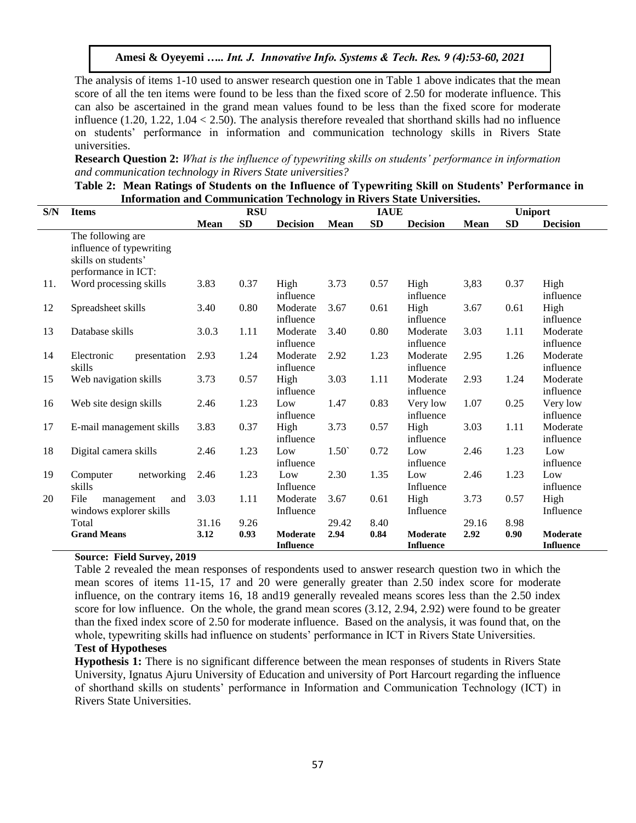The analysis of items 1-10 used to answer research question one in Table 1 above indicates that the mean score of all the ten items were found to be less than the fixed score of 2.50 for moderate influence. This can also be ascertained in the grand mean values found to be less than the fixed score for moderate influence (1.20, 1.22, 1.04 < 2.50). The analysis therefore revealed that shorthand skills had no influence on students' performance in information and communication technology skills in Rivers State universities.

**Research Question 2:** *What is the influence of typewriting skills on students' performance in information and communication technology in Rivers State universities?*

| Table 2: Mean Ratings of Students on the Influence of Typewriting Skill on Students' Performance in |  |
|-----------------------------------------------------------------------------------------------------|--|
| <b>Information and Communication Technology in Rivers State Universities.</b>                       |  |

| S/N | <b>Items</b>                                                                                |             | <b>RSU</b> |                              | <b>IAUE</b>    |      |                              |       | <b>Uniport</b> |                              |  |
|-----|---------------------------------------------------------------------------------------------|-------------|------------|------------------------------|----------------|------|------------------------------|-------|----------------|------------------------------|--|
|     |                                                                                             | <b>Mean</b> | SD         | <b>Decision</b>              | <b>Mean</b>    | SD   | <b>Decision</b>              | Mean  | SD             | <b>Decision</b>              |  |
|     | The following are<br>influence of typewriting<br>skills on students'<br>performance in ICT: |             |            |                              |                |      |                              |       |                |                              |  |
| 11. | Word processing skills                                                                      | 3.83        | 0.37       | High<br>influence            | 3.73           | 0.57 | High<br>influence            | 3,83  | 0.37           | High<br>influence            |  |
| 12  | Spreadsheet skills                                                                          | 3.40        | 0.80       | Moderate<br>influence        | 3.67           | 0.61 | High<br>influence            | 3.67  | 0.61           | High<br>influence            |  |
| 13  | Database skills                                                                             | 3.0.3       | 1.11       | Moderate<br>influence        | 3.40           | 0.80 | Moderate<br>influence        | 3.03  | 1.11           | Moderate<br>influence        |  |
| 14  | Electronic<br>presentation<br>skills                                                        | 2.93        | 1.24       | Moderate<br>influence        | 2.92           | 1.23 | Moderate<br>influence        | 2.95  | 1.26           | Moderate<br>influence        |  |
| 15  | Web navigation skills                                                                       | 3.73        | 0.57       | High<br>influence            | 3.03           | 1.11 | Moderate<br>influence        | 2.93  | 1.24           | Moderate<br>influence        |  |
| 16  | Web site design skills                                                                      | 2.46        | 1.23       | Low<br>influence             | 1.47           | 0.83 | Very low<br>influence        | 1.07  | 0.25           | Very low<br>influence        |  |
| 17  | E-mail management skills                                                                    | 3.83        | 0.37       | High<br>influence            | 3.73           | 0.57 | High<br>influence            | 3.03  | 1.11           | Moderate<br>influence        |  |
| 18  | Digital camera skills                                                                       | 2.46        | 1.23       | Low<br>influence             | $1.50^{\circ}$ | 0.72 | Low<br>influence             | 2.46  | 1.23           | Low<br>influence             |  |
| 19  | networking<br>Computer<br>skills                                                            | 2.46        | 1.23       | Low<br>Influence             | 2.30           | 1.35 | Low<br>Influence             | 2.46  | 1.23           | Low<br>influence             |  |
| 20  | File<br>management<br>and<br>windows explorer skills                                        | 3.03        | 1.11       | Moderate<br>Influence        | 3.67           | 0.61 | High<br>Influence            | 3.73  | 0.57           | High<br>Influence            |  |
|     | Total                                                                                       | 31.16       | 9.26       |                              | 29.42          | 8.40 |                              | 29.16 | 8.98           |                              |  |
|     | <b>Grand Means</b>                                                                          | 3.12        | 0.93       | Moderate<br><b>Influence</b> | 2.94           | 0.84 | Moderate<br><b>Influence</b> | 2.92  | 0.90           | Moderate<br><b>Influence</b> |  |

## **Source: Field Survey, 2019**

Table 2 revealed the mean responses of respondents used to answer research question two in which the mean scores of items 11-15, 17 and 20 were generally greater than 2.50 index score for moderate influence, on the contrary items 16, 18 and19 generally revealed means scores less than the 2.50 index score for low influence. On the whole, the grand mean scores (3.12, 2.94, 2.92) were found to be greater than the fixed index score of 2.50 for moderate influence. Based on the analysis, it was found that, on the whole, typewriting skills had influence on students' performance in ICT in Rivers State Universities.

## **Test of Hypotheses**

**Hypothesis 1:** There is no significant difference between the mean responses of students in Rivers State University, Ignatus Ajuru University of Education and university of Port Harcourt regarding the influence of shorthand skills on students' performance in Information and Communication Technology (ICT) in Rivers State Universities.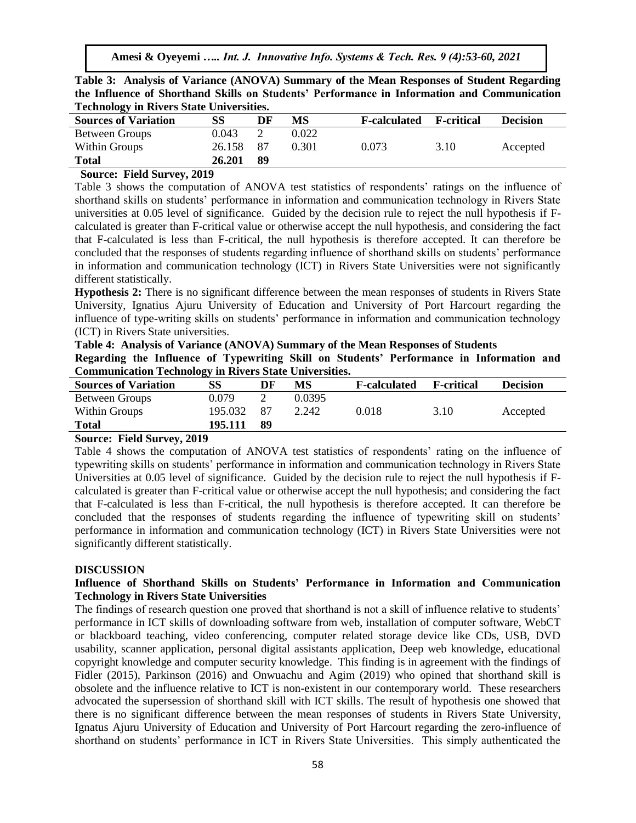| Table 3: Analysis of Variance (ANOVA) Summary of the Mean Responses of Student Regarding    |  |
|---------------------------------------------------------------------------------------------|--|
| the Influence of Shorthand Skills on Students' Performance in Information and Communication |  |
| <b>Technology in Rivers State Universities.</b>                                             |  |

| <b>Sources of Variation</b> | <b>SS</b> | DF  | MS    | <b>F-calculated</b> | <b>F</b> -critical | <b>Decision</b> |
|-----------------------------|-----------|-----|-------|---------------------|--------------------|-----------------|
| <b>Between Groups</b>       | 0.043     |     | 0.022 |                     |                    |                 |
| Within Groups               | 26.158    | 87  | 0.301 | 0.073               | 3.10               | Accepted        |
| <b>Total</b>                | 26.201    | -89 |       |                     |                    |                 |

#### **Source: Field Survey, 2019**

Table 3 shows the computation of ANOVA test statistics of respondents' ratings on the influence of shorthand skills on students' performance in information and communication technology in Rivers State universities at 0.05 level of significance. Guided by the decision rule to reject the null hypothesis if Fcalculated is greater than F-critical value or otherwise accept the null hypothesis, and considering the fact that F-calculated is less than F-critical, the null hypothesis is therefore accepted. It can therefore be concluded that the responses of students regarding influence of shorthand skills on students' performance in information and communication technology (ICT) in Rivers State Universities were not significantly different statistically.

**Hypothesis 2:** There is no significant difference between the mean responses of students in Rivers State University, Ignatius Ajuru University of Education and University of Port Harcourt regarding the influence of type-writing skills on students' performance in information and communication technology (ICT) in Rivers State universities.

## **Table 4: Analysis of Variance (ANOVA) Summary of the Mean Responses of Students**

**Regarding the Influence of Typewriting Skill on Students' Performance in Information and Communication Technology in Rivers State Universities.**

| <b>Sources of Variation</b> | SS      | DF | MS     | <b>F-calculated</b> | <b>F</b> -critical | <b>Decision</b> |
|-----------------------------|---------|----|--------|---------------------|--------------------|-----------------|
| Between Groups              | 0.079   |    | 0.0395 |                     |                    |                 |
| Within Groups               | 195.032 | 87 | 2.242  | 0.018               | 3.10               | Accepted        |
| Total                       | 195.111 | 89 |        |                     |                    |                 |

#### **Source: Field Survey, 2019**

Table 4 shows the computation of ANOVA test statistics of respondents' rating on the influence of typewriting skills on students' performance in information and communication technology in Rivers State Universities at 0.05 level of significance. Guided by the decision rule to reject the null hypothesis if Fcalculated is greater than F-critical value or otherwise accept the null hypothesis; and considering the fact that F-calculated is less than F-critical, the null hypothesis is therefore accepted. It can therefore be concluded that the responses of students regarding the influence of typewriting skill on students' performance in information and communication technology (ICT) in Rivers State Universities were not significantly different statistically.

#### **DISCUSSION**

## **Influence of Shorthand Skills on Students' Performance in Information and Communication Technology in Rivers State Universities**

The findings of research question one proved that shorthand is not a skill of influence relative to students' performance in ICT skills of downloading software from web, installation of computer software, WebCT or blackboard teaching, video conferencing, computer related storage device like CDs, USB, DVD usability, scanner application, personal digital assistants application, Deep web knowledge, educational copyright knowledge and computer security knowledge. This finding is in agreement with the findings of Fidler (2015), Parkinson (2016) and Onwuachu and Agim (2019) who opined that shorthand skill is obsolete and the influence relative to ICT is non-existent in our contemporary world. These researchers advocated the supersession of shorthand skill with ICT skills. The result of hypothesis one showed that there is no significant difference between the mean responses of students in Rivers State University, Ignatus Ajuru University of Education and University of Port Harcourt regarding the zero-influence of shorthand on students' performance in ICT in Rivers State Universities. This simply authenticated the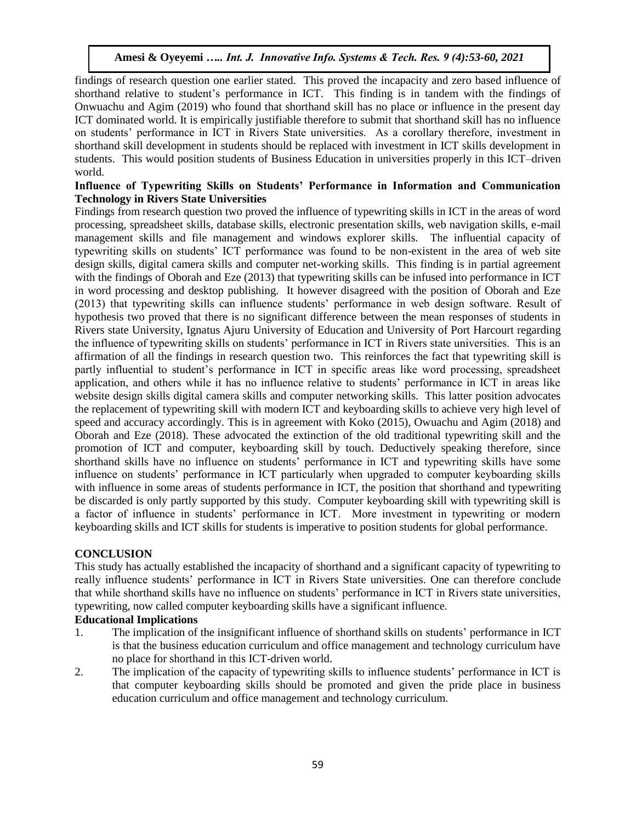findings of research question one earlier stated. This proved the incapacity and zero based influence of shorthand relative to student's performance in ICT. This finding is in tandem with the findings of Onwuachu and Agim (2019) who found that shorthand skill has no place or influence in the present day ICT dominated world. It is empirically justifiable therefore to submit that shorthand skill has no influence on students' performance in ICT in Rivers State universities. As a corollary therefore, investment in shorthand skill development in students should be replaced with investment in ICT skills development in students. This would position students of Business Education in universities properly in this ICT–driven world.

## **Influence of Typewriting Skills on Students' Performance in Information and Communication Technology in Rivers State Universities**

Findings from research question two proved the influence of typewriting skills in ICT in the areas of word processing, spreadsheet skills, database skills, electronic presentation skills, web navigation skills, e-mail management skills and file management and windows explorer skills. The influential capacity of typewriting skills on students' ICT performance was found to be non-existent in the area of web site design skills, digital camera skills and computer net-working skills. This finding is in partial agreement with the findings of Oborah and Eze (2013) that typewriting skills can be infused into performance in ICT in word processing and desktop publishing. It however disagreed with the position of Oborah and Eze (2013) that typewriting skills can influence students' performance in web design software. Result of hypothesis two proved that there is no significant difference between the mean responses of students in Rivers state University, Ignatus Ajuru University of Education and University of Port Harcourt regarding the influence of typewriting skills on students' performance in ICT in Rivers state universities. This is an affirmation of all the findings in research question two. This reinforces the fact that typewriting skill is partly influential to student's performance in ICT in specific areas like word processing, spreadsheet application, and others while it has no influence relative to students' performance in ICT in areas like website design skills digital camera skills and computer networking skills. This latter position advocates the replacement of typewriting skill with modern ICT and keyboarding skills to achieve very high level of speed and accuracy accordingly. This is in agreement with Koko (2015), Owuachu and Agim (2018) and Oborah and Eze (2018). These advocated the extinction of the old traditional typewriting skill and the promotion of ICT and computer, keyboarding skill by touch. Deductively speaking therefore, since shorthand skills have no influence on students' performance in ICT and typewriting skills have some influence on students' performance in ICT particularly when upgraded to computer keyboarding skills with influence in some areas of students performance in ICT, the position that shorthand and typewriting be discarded is only partly supported by this study. Computer keyboarding skill with typewriting skill is a factor of influence in students' performance in ICT. More investment in typewriting or modern keyboarding skills and ICT skills for students is imperative to position students for global performance.

## **CONCLUSION**

This study has actually established the incapacity of shorthand and a significant capacity of typewriting to really influence students' performance in ICT in Rivers State universities. One can therefore conclude that while shorthand skills have no influence on students' performance in ICT in Rivers state universities, typewriting, now called computer keyboarding skills have a significant influence.

## **Educational Implications**

- 1. The implication of the insignificant influence of shorthand skills on students' performance in ICT is that the business education curriculum and office management and technology curriculum have no place for shorthand in this ICT-driven world.
- 2. The implication of the capacity of typewriting skills to influence students' performance in ICT is that computer keyboarding skills should be promoted and given the pride place in business education curriculum and office management and technology curriculum.